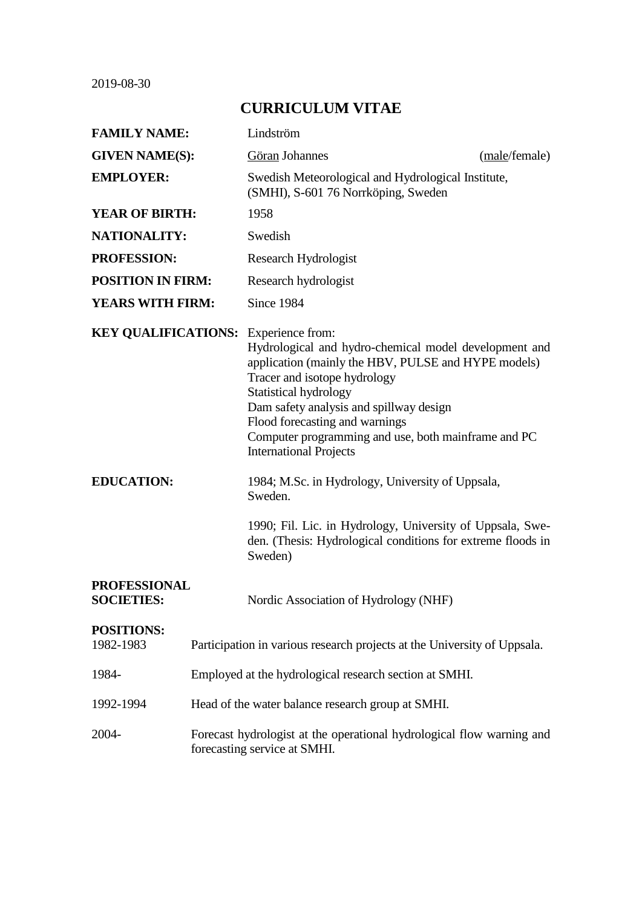2019-08-30

# **CURRICULUM VITAE**

| <b>FAMILY NAME:</b>                         |                                                                                                       | Lindström                                                                                                                                                                                                                                                                                                                                  |               |  |
|---------------------------------------------|-------------------------------------------------------------------------------------------------------|--------------------------------------------------------------------------------------------------------------------------------------------------------------------------------------------------------------------------------------------------------------------------------------------------------------------------------------------|---------------|--|
| <b>GIVEN NAME(S):</b>                       |                                                                                                       | Göran Johannes                                                                                                                                                                                                                                                                                                                             | (male/female) |  |
| <b>EMPLOYER:</b>                            |                                                                                                       | Swedish Meteorological and Hydrological Institute,<br>(SMHI), S-601 76 Norrköping, Sweden                                                                                                                                                                                                                                                  |               |  |
| <b>YEAR OF BIRTH:</b>                       |                                                                                                       | 1958                                                                                                                                                                                                                                                                                                                                       |               |  |
| <b>NATIONALITY:</b>                         |                                                                                                       | Swedish                                                                                                                                                                                                                                                                                                                                    |               |  |
| <b>PROFESSION:</b>                          |                                                                                                       | Research Hydrologist                                                                                                                                                                                                                                                                                                                       |               |  |
| <b>POSITION IN FIRM:</b>                    |                                                                                                       | Research hydrologist                                                                                                                                                                                                                                                                                                                       |               |  |
| <b>YEARS WITH FIRM:</b>                     |                                                                                                       | Since 1984                                                                                                                                                                                                                                                                                                                                 |               |  |
| <b>KEY QUALIFICATIONS:</b> Experience from: |                                                                                                       | Hydrological and hydro-chemical model development and<br>application (mainly the HBV, PULSE and HYPE models)<br>Tracer and isotope hydrology<br>Statistical hydrology<br>Dam safety analysis and spillway design<br>Flood forecasting and warnings<br>Computer programming and use, both mainframe and PC<br><b>International Projects</b> |               |  |
| <b>EDUCATION:</b>                           |                                                                                                       | 1984; M.Sc. in Hydrology, University of Uppsala,<br>Sweden.                                                                                                                                                                                                                                                                                |               |  |
|                                             |                                                                                                       | 1990; Fil. Lic. in Hydrology, University of Uppsala, Swe-<br>den. (Thesis: Hydrological conditions for extreme floods in<br>Sweden)                                                                                                                                                                                                        |               |  |
| <b>PROFESSIONAL</b><br><b>SOCIETIES:</b>    |                                                                                                       | Nordic Association of Hydrology (NHF)                                                                                                                                                                                                                                                                                                      |               |  |
| <b>POSITIONS:</b><br>1982-1983              | Participation in various research projects at the University of Uppsala.                              |                                                                                                                                                                                                                                                                                                                                            |               |  |
| 1984-                                       | Employed at the hydrological research section at SMHI.                                                |                                                                                                                                                                                                                                                                                                                                            |               |  |
| 1992-1994                                   | Head of the water balance research group at SMHI.                                                     |                                                                                                                                                                                                                                                                                                                                            |               |  |
| 2004-                                       | Forecast hydrologist at the operational hydrological flow warning and<br>forecasting service at SMHI. |                                                                                                                                                                                                                                                                                                                                            |               |  |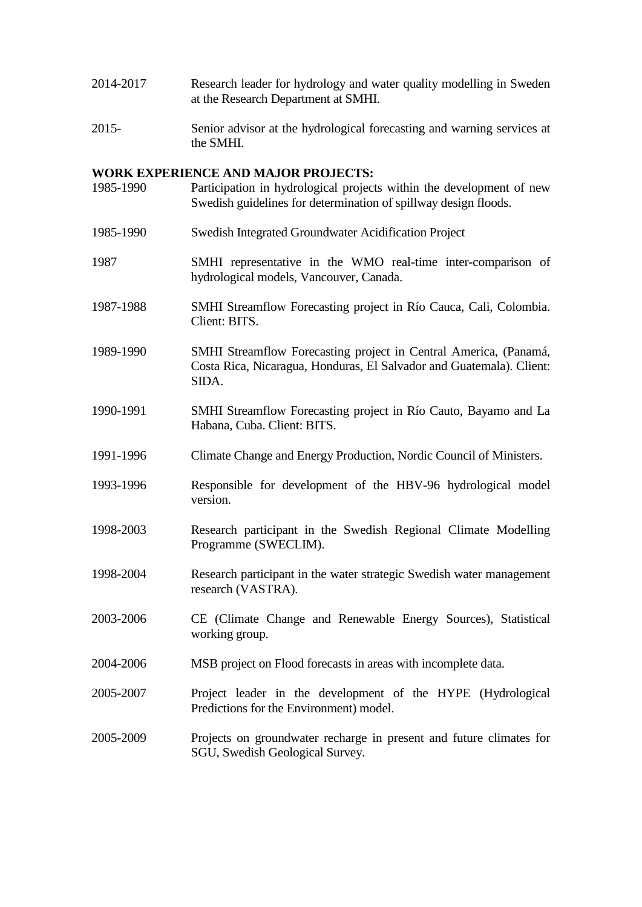- 2014-2017 Research leader for hydrology and water quality modelling in Sweden at the Research Department at SMHI.
- 2015- Senior advisor at the hydrological forecasting and warning services at the SMHI.

#### **WORK EXPERIENCE AND MAJOR PROJECTS:**

1985-1990 Participation in hydrological projects within the development of new Swedish guidelines for determination of spillway design floods. 1985-1990 Swedish Integrated Groundwater Acidification Project 1987 SMHI representative in the WMO real-time inter-comparison of hydrological models, Vancouver, Canada. 1987-1988 SMHI Streamflow Forecasting project in Río Cauca, Cali, Colombia. Client: BITS. 1989-1990 SMHI Streamflow Forecasting project in Central America, (Panamá, Costa Rica, Nicaragua, Honduras, El Salvador and Guatemala). Client: SIDA. 1990-1991 SMHI Streamflow Forecasting project in Río Cauto, Bayamo and La Habana, Cuba. Client: BITS. 1991-1996 Climate Change and Energy Production, Nordic Council of Ministers. 1993-1996 Responsible for development of the HBV-96 hydrological model version. 1998-2003 Research participant in the Swedish Regional Climate Modelling Programme (SWECLIM). 1998-2004 Research participant in the water strategic Swedish water management research (VASTRA). 2003-2006 CE (Climate Change and Renewable Energy Sources), Statistical working group. 2004-2006 MSB project on Flood forecasts in areas with incomplete data. 2005-2007 Project leader in the development of the HYPE (Hydrological Predictions for the Environment) model. 2005-2009 Projects on groundwater recharge in present and future climates for SGU, Swedish Geological Survey.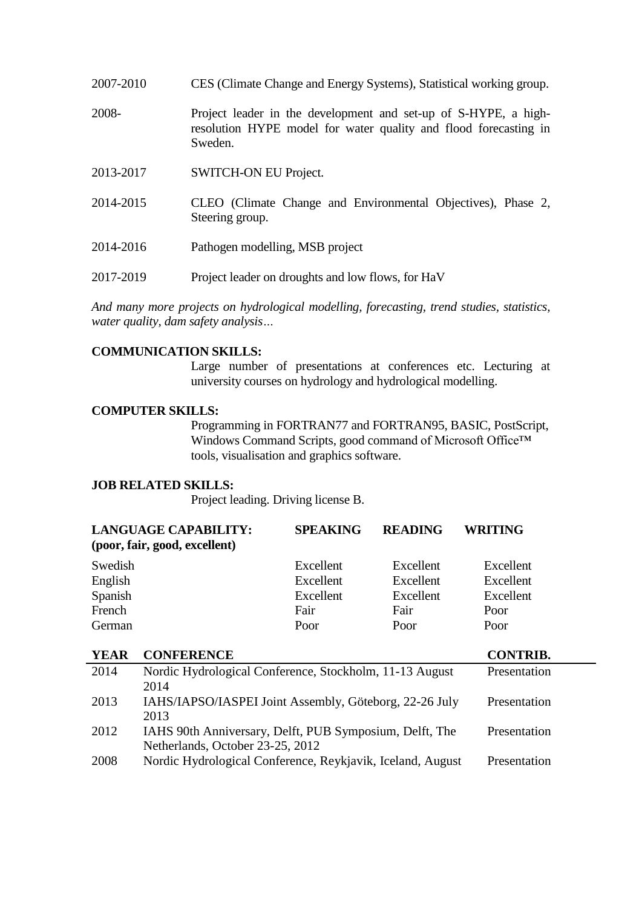| 2007-2010 | CES (Climate Change and Energy Systems), Statistical working group.                                                                            |
|-----------|------------------------------------------------------------------------------------------------------------------------------------------------|
| 2008-     | Project leader in the development and set-up of S-HYPE, a high-<br>resolution HYPE model for water quality and flood forecasting in<br>Sweden. |
| 2013-2017 | <b>SWITCH-ON EU Project.</b>                                                                                                                   |
| 2014-2015 | CLEO (Climate Change and Environmental Objectives). Phase 2.                                                                                   |

- $2014 2015$  CLEO (Climate Change and Environmental Objectives), Steering group.
- 2014-2016 Pathogen modelling, MSB project
- 2017-2019 Project leader on droughts and low flows, for HaV

*And many more projects on hydrological modelling, forecasting, trend studies, statistics, water quality, dam safety analysis…*

## **COMMUNICATION SKILLS:**

Large number of presentations at conferences etc. Lecturing at university courses on hydrology and hydrological modelling.

## **COMPUTER SKILLS:**

Programming in FORTRAN77 and FORTRAN95, BASIC, PostScript, Windows Command Scripts, good command of Microsoft Office™ tools, visualisation and graphics software.

#### **JOB RELATED SKILLS:**

Project leading. Driving license B.

| <b>LANGUAGE CAPABILITY:</b><br>(poor, fair, good, excellent) | <b>SPEAKING</b> | <b>READING</b> | <b>WRITING</b> |
|--------------------------------------------------------------|-----------------|----------------|----------------|
| Swedish                                                      | Excellent       | Excellent      | Excellent      |
| English                                                      | Excellent       | Excellent      | Excellent      |
| Spanish                                                      | Excellent       | Excellent      | Excellent      |
| French                                                       | Fair            | Fair           | Poor           |
| German                                                       | Poor            | Poor           | Poor           |

| <b>CONFERENCE</b>                                          | <b>CONTRIB.</b> |
|------------------------------------------------------------|-----------------|
| Nordic Hydrological Conference, Stockholm, 11-13 August    | Presentation    |
| 2014                                                       |                 |
| IAHS/IAPSO/IASPEI Joint Assembly, Göteborg, 22-26 July     | Presentation    |
| 2013                                                       |                 |
| IAHS 90th Anniversary, Delft, PUB Symposium, Delft, The    | Presentation    |
| Netherlands, October 23-25, 2012                           |                 |
| Nordic Hydrological Conference, Reykjavik, Iceland, August | Presentation    |
|                                                            |                 |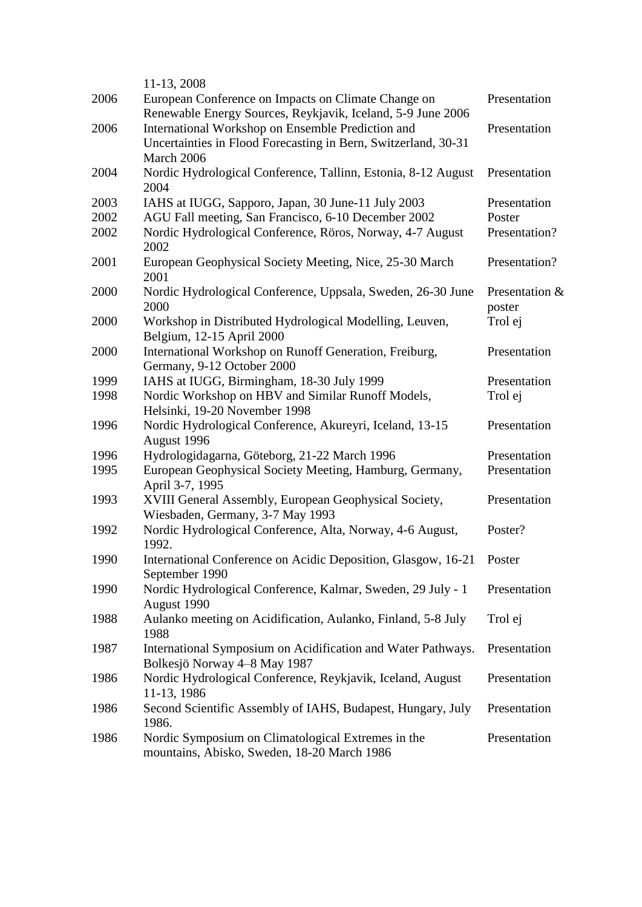|      | 11-13, 2008                                                                                                         |                          |
|------|---------------------------------------------------------------------------------------------------------------------|--------------------------|
| 2006 | European Conference on Impacts on Climate Change on<br>Renewable Energy Sources, Reykjavik, Iceland, 5-9 June 2006  | Presentation             |
| 2006 | International Workshop on Ensemble Prediction and<br>Uncertainties in Flood Forecasting in Bern, Switzerland, 30-31 | Presentation             |
|      | March 2006                                                                                                          |                          |
| 2004 | Nordic Hydrological Conference, Tallinn, Estonia, 8-12 August<br>2004                                               | Presentation             |
| 2003 | IAHS at IUGG, Sapporo, Japan, 30 June-11 July 2003                                                                  | Presentation             |
| 2002 | AGU Fall meeting, San Francisco, 6-10 December 2002                                                                 | Poster                   |
| 2002 | Nordic Hydrological Conference, Röros, Norway, 4-7 August<br>2002                                                   | Presentation?            |
| 2001 | European Geophysical Society Meeting, Nice, 25-30 March<br>2001                                                     | Presentation?            |
| 2000 | Nordic Hydrological Conference, Uppsala, Sweden, 26-30 June<br>2000                                                 | Presentation &<br>poster |
| 2000 | Workshop in Distributed Hydrological Modelling, Leuven,<br>Belgium, 12-15 April 2000                                | Trol ej                  |
| 2000 | International Workshop on Runoff Generation, Freiburg,<br>Germany, 9-12 October 2000                                | Presentation             |
| 1999 | IAHS at IUGG, Birmingham, 18-30 July 1999                                                                           | Presentation             |
| 1998 | Nordic Workshop on HBV and Similar Runoff Models,                                                                   | Trol ej                  |
|      | Helsinki, 19-20 November 1998                                                                                       |                          |
| 1996 | Nordic Hydrological Conference, Akureyri, Iceland, 13-15<br>August 1996                                             | Presentation             |
| 1996 | Hydrologidagarna, Göteborg, 21-22 March 1996                                                                        | Presentation             |
| 1995 | European Geophysical Society Meeting, Hamburg, Germany,<br>April 3-7, 1995                                          | Presentation             |
| 1993 | XVIII General Assembly, European Geophysical Society,<br>Wiesbaden, Germany, 3-7 May 1993                           | Presentation             |
| 1992 | Nordic Hydrological Conference, Alta, Norway, 4-6 August,<br>1992.                                                  | Poster?                  |
| 1990 | International Conference on Acidic Deposition, Glasgow, 16-21<br>September 1990                                     | Poster                   |
| 1990 | Nordic Hydrological Conference, Kalmar, Sweden, 29 July - 1<br>August 1990                                          | Presentation             |
| 1988 | Aulanko meeting on Acidification, Aulanko, Finland, 5-8 July<br>1988                                                | Trol ej                  |
| 1987 | International Symposium on Acidification and Water Pathways.<br>Bolkesjö Norway 4–8 May 1987                        | Presentation             |
| 1986 | Nordic Hydrological Conference, Reykjavik, Iceland, August<br>11-13, 1986                                           | Presentation             |
| 1986 | Second Scientific Assembly of IAHS, Budapest, Hungary, July<br>1986.                                                | Presentation             |
| 1986 | Nordic Symposium on Climatological Extremes in the<br>mountains, Abisko, Sweden, 18-20 March 1986                   | Presentation             |